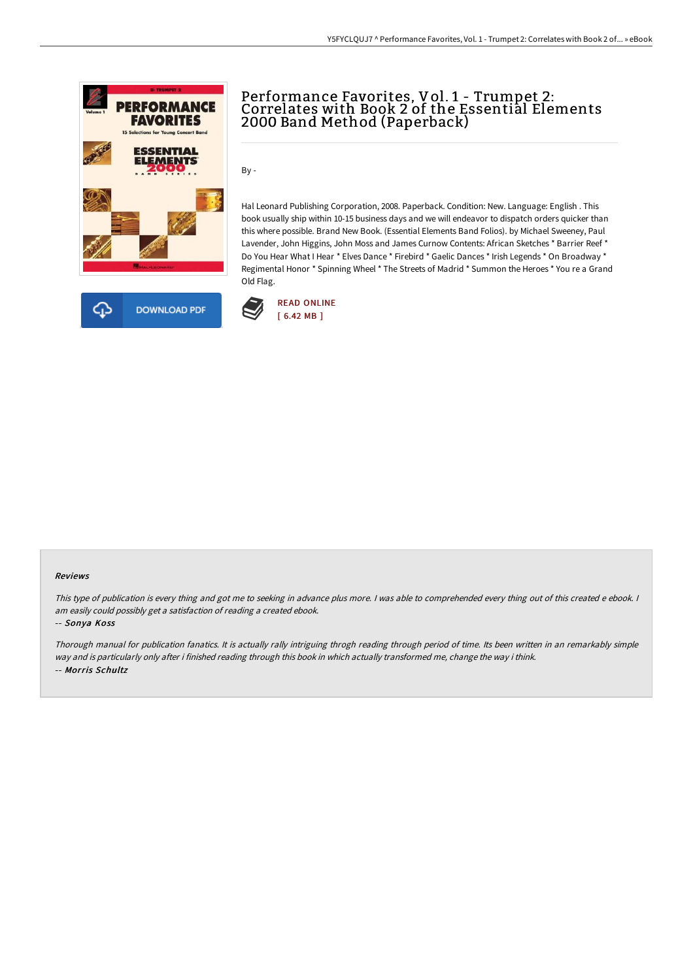



By -

Hal Leonard Publishing Corporation, 2008. Paperback. Condition: New. Language: English . This book usually ship within 10-15 business days and we will endeavor to dispatch orders quicker than this where possible. Brand New Book. (Essential Elements Band Folios). by Michael Sweeney, Paul Lavender, John Higgins, John Moss and James Curnow Contents: African Sketches \* Barrier Reef \* Do You Hear What I Hear \* Elves Dance \* Firebird \* Gaelic Dances \* Irish Legends \* On Broadway \* Regimental Honor \* Spinning Wheel \* The Streets of Madrid \* Summon the Heroes \* You re a Grand Old Flag.



## Reviews

This type of publication is every thing and got me to seeking in advance plus more. I was able to comprehended every thing out of this created e ebook. I am easily could possibly get <sup>a</sup> satisfaction of reading <sup>a</sup> created ebook.

-- Sonya Koss

Thorough manual for publication fanatics. It is actually rally intriguing throgh reading through period of time. Its been written in an remarkably simple way and is particularly only after i finished reading through this book in which actually transformed me, change the way i think. -- Morris Schultz